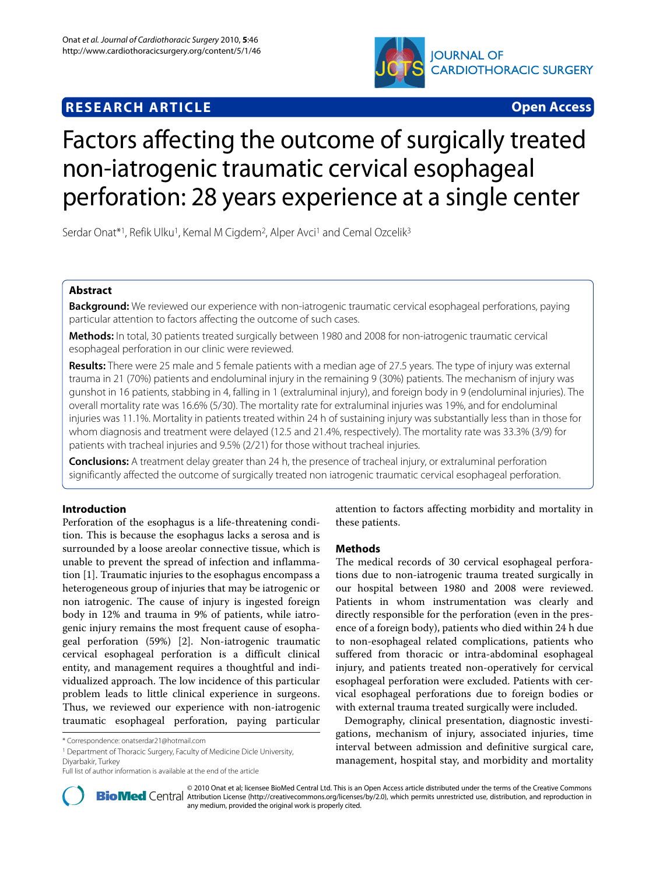# **JOURNAL OF CARDIOTHORACIC SURGERY**

# **RESEARCH ARTICLE Open Access**

# Factors affecting the outcome of surgically treated non-iatrogenic traumatic cervical esophageal perforation: 28 years experience at a single center

Serdar Onat<sup>\*1</sup>, Refik Ulku<sup>1</sup>, Kemal M Cigdem<sup>2</sup>, Alper Avci<sup>1</sup> and Cemal Ozcelik<sup>3</sup>

# **Abstract**

**Background:** We reviewed our experience with non-iatrogenic traumatic cervical esophageal perforations, paying particular attention to factors affecting the outcome of such cases.

**Methods:** In total, 30 patients treated surgically between 1980 and 2008 for non-iatrogenic traumatic cervical esophageal perforation in our clinic were reviewed.

**Results:** There were 25 male and 5 female patients with a median age of 27.5 years. The type of injury was external trauma in 21 (70%) patients and endoluminal injury in the remaining 9 (30%) patients. The mechanism of injury was gunshot in 16 patients, stabbing in 4, falling in 1 (extraluminal injury), and foreign body in 9 (endoluminal injuries). The overall mortality rate was 16.6% (5/30). The mortality rate for extraluminal injuries was 19%, and for endoluminal injuries was 11.1%. Mortality in patients treated within 24 h of sustaining injury was substantially less than in those for whom diagnosis and treatment were delayed (12.5 and 21.4%, respectively). The mortality rate was 33.3% (3/9) for patients with tracheal injuries and 9.5% (2/21) for those without tracheal injuries.

**Conclusions:** A treatment delay greater than 24 h, the presence of tracheal injury, or extraluminal perforation significantly affected the outcome of surgically treated non iatrogenic traumatic cervical esophageal perforation.

## **Introduction**

Perforation of the esophagus is a life-threatening condition. This is because the esophagus lacks a serosa and is surrounded by a loose areolar connective tissue, which is unable to prevent the spread of infection and inflammation [[1](#page-4-0)]. Traumatic injuries to the esophagus encompass a heterogeneous group of injuries that may be iatrogenic or non iatrogenic. The cause of injury is ingested foreign body in 12% and trauma in 9% of patients, while iatrogenic injury remains the most frequent cause of esophageal perforation (59%) [[2\]](#page-4-1). Non-iatrogenic traumatic cervical esophageal perforation is a difficult clinical entity, and management requires a thoughtful and individualized approach. The low incidence of this particular problem leads to little clinical experience in surgeons. Thus, we reviewed our experience with non-iatrogenic traumatic esophageal perforation, paying particular

<sup>1</sup> Department of Thoracic Surgery, Faculty of Medicine Dicle University, Diyarbakir, Turkey

attention to factors affecting morbidity and mortality in these patients.

### **Methods**

The medical records of 30 cervical esophageal perforations due to non-iatrogenic trauma treated surgically in our hospital between 1980 and 2008 were reviewed. Patients in whom instrumentation was clearly and directly responsible for the perforation (even in the presence of a foreign body), patients who died within 24 h due to non-esophageal related complications, patients who suffered from thoracic or intra-abdominal esophageal injury, and patients treated non-operatively for cervical esophageal perforation were excluded. Patients with cervical esophageal perforations due to foreign bodies or with external trauma treated surgically were included.

Demography, clinical presentation, diagnostic investigations, mechanism of injury, associated injuries, time interval between admission and definitive surgical care, management, hospital stay, and morbidity and mortality



2010 Onat et al; licensee [BioMed](http://www.biomedcentral.com/) Central Ltd. This is an Open Access article distributed under the terms of the Creative Commons (http://creativecommons.org/licenses/by/2.0), which permits unrestricted use, distribution, a any medium, provided the original work is properly cited.

<sup>\*</sup> Correspondence: onatserdar21@hotmail.com

Full list of author information is available at the end of the article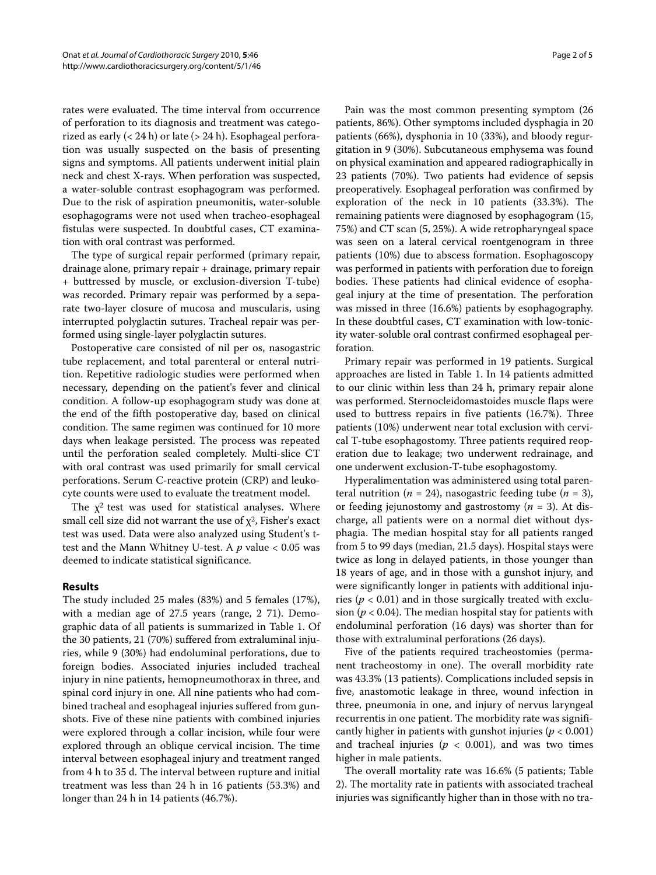rates were evaluated. The time interval from occurrence of perforation to its diagnosis and treatment was categorized as early  $(< 24 h)$  or late  $(> 24 h)$ . Esophageal perforation was usually suspected on the basis of presenting signs and symptoms. All patients underwent initial plain neck and chest X-rays. When perforation was suspected, a water-soluble contrast esophagogram was performed. Due to the risk of aspiration pneumonitis, water-soluble esophagograms were not used when tracheo-esophageal fistulas were suspected. In doubtful cases, CT examination with oral contrast was performed.

The type of surgical repair performed (primary repair, drainage alone, primary repair + drainage, primary repair + buttressed by muscle, or exclusion-diversion T-tube) was recorded. Primary repair was performed by a separate two-layer closure of mucosa and muscularis, using interrupted polyglactin sutures. Tracheal repair was performed using single-layer polyglactin sutures.

Postoperative care consisted of nil per os, nasogastric tube replacement, and total parenteral or enteral nutrition. Repetitive radiologic studies were performed when necessary, depending on the patient's fever and clinical condition. A follow-up esophagogram study was done at the end of the fifth postoperative day, based on clinical condition. The same regimen was continued for 10 more days when leakage persisted. The process was repeated until the perforation sealed completely. Multi-slice CT with oral contrast was used primarily for small cervical perforations. Serum C-reactive protein (CRP) and leukocyte counts were used to evaluate the treatment model.

The  $\chi^2$  test was used for statistical analyses. Where small cell size did not warrant the use of  $\chi^2$ , Fisher's exact test was used. Data were also analyzed using Student's ttest and the Mann Whitney U-test. A *p* value < 0.05 was deemed to indicate statistical significance.

### **Results**

The study included 25 males (83%) and 5 females (17%), with a median age of 27.5 years (range, 2 71). Demographic data of all patients is summarized in Table 1. Of the 30 patients, 21 (70%) suffered from extraluminal injuries, while 9 (30%) had endoluminal perforations, due to foreign bodies. Associated injuries included tracheal injury in nine patients, hemopneumothorax in three, and spinal cord injury in one. All nine patients who had combined tracheal and esophageal injuries suffered from gunshots. Five of these nine patients with combined injuries were explored through a collar incision, while four were explored through an oblique cervical incision. The time interval between esophageal injury and treatment ranged from 4 h to 35 d. The interval between rupture and initial treatment was less than 24 h in 16 patients (53.3%) and longer than 24 h in 14 patients (46.7%).

Pain was the most common presenting symptom (26 patients, 86%). Other symptoms included dysphagia in 20 patients (66%), dysphonia in 10 (33%), and bloody regurgitation in 9 (30%). Subcutaneous emphysema was found on physical examination and appeared radiographically in 23 patients (70%). Two patients had evidence of sepsis preoperatively. Esophageal perforation was confirmed by exploration of the neck in 10 patients (33.3%). The remaining patients were diagnosed by esophagogram (15, 75%) and CT scan (5, 25%). A wide retropharyngeal space was seen on a lateral cervical roentgenogram in three patients (10%) due to abscess formation. Esophagoscopy was performed in patients with perforation due to foreign bodies. These patients had clinical evidence of esophageal injury at the time of presentation. The perforation was missed in three (16.6%) patients by esophagography. In these doubtful cases, CT examination with low-tonicity water-soluble oral contrast confirmed esophageal perforation.

Primary repair was performed in 19 patients. Surgical approaches are listed in Table 1. In 14 patients admitted to our clinic within less than 24 h, primary repair alone was performed. Sternocleidomastoides muscle flaps were used to buttress repairs in five patients (16.7%). Three patients (10%) underwent near total exclusion with cervical T-tube esophagostomy. Three patients required reoperation due to leakage; two underwent redrainage, and one underwent exclusion-T-tube esophagostomy.

Hyperalimentation was administered using total parenteral nutrition ( $n = 24$ ), nasogastric feeding tube ( $n = 3$ ), or feeding jejunostomy and gastrostomy (*n* = 3). At discharge, all patients were on a normal diet without dysphagia. The median hospital stay for all patients ranged from 5 to 99 days (median, 21.5 days). Hospital stays were twice as long in delayed patients, in those younger than 18 years of age, and in those with a gunshot injury, and were significantly longer in patients with additional injuries ( $p < 0.01$ ) and in those surgically treated with exclusion ( $p < 0.04$ ). The median hospital stay for patients with endoluminal perforation (16 days) was shorter than for those with extraluminal perforations (26 days).

Five of the patients required tracheostomies (permanent tracheostomy in one). The overall morbidity rate was 43.3% (13 patients). Complications included sepsis in five, anastomotic leakage in three, wound infection in three, pneumonia in one, and injury of nervus laryngeal recurrentis in one patient. The morbidity rate was significantly higher in patients with gunshot injuries (*p* < 0.001) and tracheal injuries ( $p < 0.001$ ), and was two times higher in male patients.

The overall mortality rate was 16.6% (5 patients; Table 2). The mortality rate in patients with associated tracheal injuries was significantly higher than in those with no tra-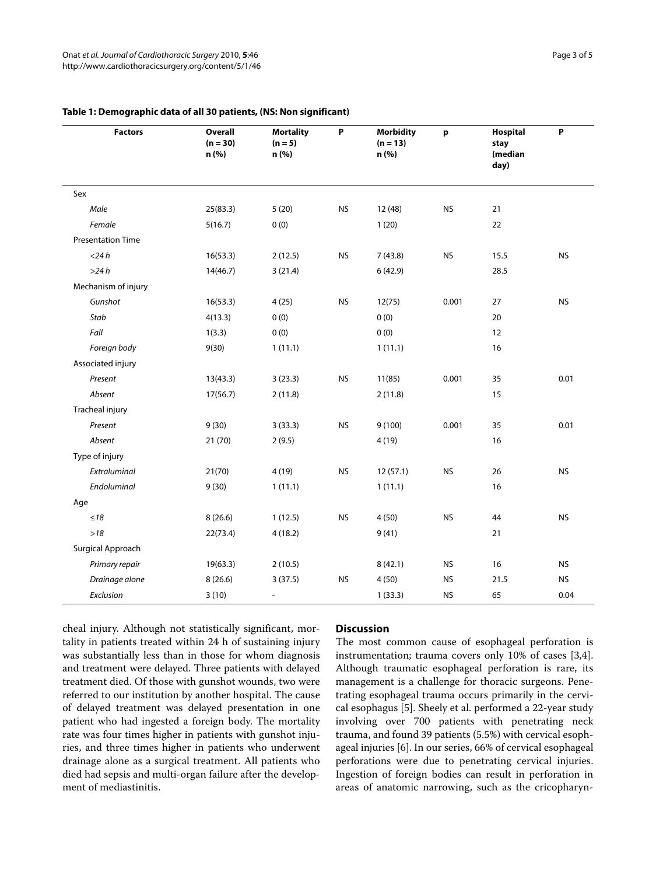| <b>Factors</b>           | <b>Overall</b><br>$(n = 30)$<br>n (%) | <b>Mortality</b><br>$(n = 5)$<br>n (%) | P         | <b>Morbidity</b><br>$(n = 13)$<br>n (%) | p         | Hospital<br>stay<br>(median<br>day) | $\boldsymbol{\mathsf{P}}$ |
|--------------------------|---------------------------------------|----------------------------------------|-----------|-----------------------------------------|-----------|-------------------------------------|---------------------------|
| Sex                      |                                       |                                        |           |                                         |           |                                     |                           |
| Male                     | 25(83.3)                              | 5(20)                                  | <b>NS</b> | 12 (48)                                 | <b>NS</b> | 21                                  |                           |
| Female                   | 5(16.7)                               | 0(0)                                   |           | 1(20)                                   |           | 22                                  |                           |
| <b>Presentation Time</b> |                                       |                                        |           |                                         |           |                                     |                           |
| $<$ 24 $h$               | 16(53.3)                              | 2(12.5)                                | <b>NS</b> | 7(43.8)                                 | <b>NS</b> | 15.5                                | <b>NS</b>                 |
| >24h                     | 14(46.7)                              | 3(21.4)                                |           | 6(42.9)                                 |           | 28.5                                |                           |
| Mechanism of injury      |                                       |                                        |           |                                         |           |                                     |                           |
| Gunshot                  | 16(53.3)                              | 4(25)                                  | <b>NS</b> | 12(75)                                  | 0.001     | 27                                  | <b>NS</b>                 |
| Stab                     | 4(13.3)                               | 0(0)                                   |           | 0(0)                                    |           | 20                                  |                           |
| Fall                     | 1(3.3)                                | 0(0)                                   |           | 0(0)                                    |           | 12                                  |                           |
| Foreign body             | 9(30)                                 | 1(11.1)                                |           | 1(11.1)                                 |           | 16                                  |                           |
| Associated injury        |                                       |                                        |           |                                         |           |                                     |                           |
| Present                  | 13(43.3)                              | 3(23.3)                                | <b>NS</b> | 11(85)                                  | 0.001     | 35                                  | 0.01                      |
| Absent                   | 17(56.7)                              | 2(11.8)                                |           | 2(11.8)                                 |           | 15                                  |                           |
| Tracheal injury          |                                       |                                        |           |                                         |           |                                     |                           |
| Present                  | 9(30)                                 | 3(33.3)                                | <b>NS</b> | 9(100)                                  | 0.001     | 35                                  | 0.01                      |
| Absent                   | 21(70)                                | 2(9.5)                                 |           | 4(19)                                   |           | 16                                  |                           |
| Type of injury           |                                       |                                        |           |                                         |           |                                     |                           |
| Extraluminal             | 21(70)                                | 4 (19)                                 | <b>NS</b> | 12(57.1)                                | <b>NS</b> | 26                                  | <b>NS</b>                 |
| Endoluminal              | 9(30)                                 | 1(11.1)                                |           | 1(11.1)                                 |           | 16                                  |                           |
| Age                      |                                       |                                        |           |                                         |           |                                     |                           |
| ${\leq}18$               | 8(26.6)                               | 1(12.5)                                | <b>NS</b> | 4(50)                                   | <b>NS</b> | 44                                  | <b>NS</b>                 |
| $>18$                    | 22(73.4)                              | 4(18.2)                                |           | 9(41)                                   |           | 21                                  |                           |
| Surgical Approach        |                                       |                                        |           |                                         |           |                                     |                           |
| Primary repair           | 19(63.3)                              | 2(10.5)                                |           | 8(42.1)                                 | <b>NS</b> | 16                                  | <b>NS</b>                 |
| Drainage alone           | 8(26.6)                               | 3(37.5)                                | <b>NS</b> | 4(50)                                   | <b>NS</b> | 21.5                                | <b>NS</b>                 |
| Exclusion                | 3(10)                                 | $\frac{1}{2}$                          |           | 1(33.3)                                 | <b>NS</b> | 65                                  | 0.04                      |

# **Table 1: Demographic data of all 30 patients, (NS: Non significant)**

cheal injury. Although not statistically significant, mortality in patients treated within 24 h of sustaining injury was substantially less than in those for whom diagnosis and treatment were delayed. Three patients with delayed treatment died. Of those with gunshot wounds, two were referred to our institution by another hospital. The cause of delayed treatment was delayed presentation in one patient who had ingested a foreign body. The mortality rate was four times higher in patients with gunshot injuries, and three times higher in patients who underwent drainage alone as a surgical treatment. All patients who died had sepsis and multi-organ failure after the development of mediastinitis.

#### **Discussion**

The most common cause of esophageal perforation is instrumentation; trauma covers only 10% of cases [\[3](#page-4-2)[,4](#page-4-3)]. Although traumatic esophageal perforation is rare, its management is a challenge for thoracic surgeons. Penetrating esophageal trauma occurs primarily in the cervical esophagus [[5\]](#page-4-4). Sheely et al. performed a 22-year study involving over 700 patients with penetrating neck trauma, and found 39 patients (5.5%) with cervical esophageal injuries [\[6](#page-4-5)]. In our series, 66% of cervical esophageal perforations were due to penetrating cervical injuries. Ingestion of foreign bodies can result in perforation in areas of anatomic narrowing, such as the cricopharyn-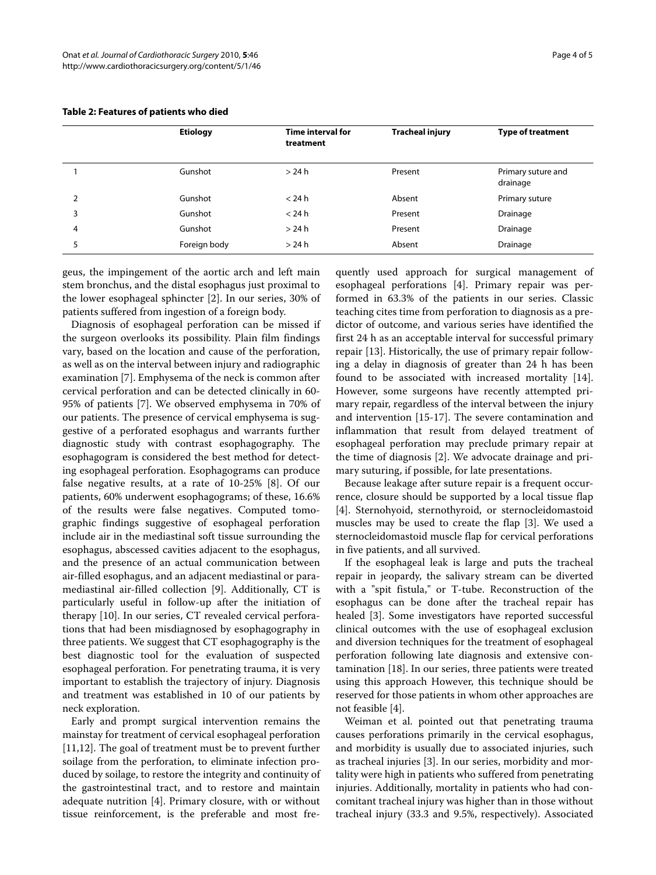|   | <b>Etiology</b> | <b>Time interval for</b><br>treatment | <b>Tracheal injury</b> | <b>Type of treatment</b>       |
|---|-----------------|---------------------------------------|------------------------|--------------------------------|
|   | Gunshot         | > 24 h                                | Present                | Primary suture and<br>drainage |
| 2 | Gunshot         | $<$ 24 h                              | Absent                 | Primary suture                 |
| 3 | Gunshot         | $<$ 24 h                              | Present                | Drainage                       |
| 4 | Gunshot         | >24 h                                 | Present                | Drainage                       |
|   | Foreign body    | > 24 h                                | Absent                 | Drainage                       |

#### **Table 2: Features of patients who died**

geus, the impingement of the aortic arch and left main stem bronchus, and the distal esophagus just proximal to the lower esophageal sphincter [\[2](#page-4-1)]. In our series, 30% of patients suffered from ingestion of a foreign body.

Diagnosis of esophageal perforation can be missed if the surgeon overlooks its possibility. Plain film findings vary, based on the location and cause of the perforation, as well as on the interval between injury and radiographic examination [[7\]](#page-4-6). Emphysema of the neck is common after cervical perforation and can be detected clinically in 60- 95% of patients [\[7](#page-4-6)]. We observed emphysema in 70% of our patients. The presence of cervical emphysema is suggestive of a perforated esophagus and warrants further diagnostic study with contrast esophagography. The esophagogram is considered the best method for detecting esophageal perforation. Esophagograms can produce false negative results, at a rate of 10-25% [[8\]](#page-4-7). Of our patients, 60% underwent esophagograms; of these, 16.6% of the results were false negatives. Computed tomographic findings suggestive of esophageal perforation include air in the mediastinal soft tissue surrounding the esophagus, abscessed cavities adjacent to the esophagus, and the presence of an actual communication between air-filled esophagus, and an adjacent mediastinal or paramediastinal air-filled collection [\[9](#page-4-8)]. Additionally, CT is particularly useful in follow-up after the initiation of therapy [[10\]](#page-4-9). In our series, CT revealed cervical perforations that had been misdiagnosed by esophagography in three patients. We suggest that CT esophagography is the best diagnostic tool for the evaluation of suspected esophageal perforation. For penetrating trauma, it is very important to establish the trajectory of injury. Diagnosis and treatment was established in 10 of our patients by neck exploration.

Early and prompt surgical intervention remains the mainstay for treatment of cervical esophageal perforation [[11,](#page-4-10)[12\]](#page-4-11). The goal of treatment must be to prevent further soilage from the perforation, to eliminate infection produced by soilage, to restore the integrity and continuity of the gastrointestinal tract, and to restore and maintain adequate nutrition [\[4\]](#page-4-3). Primary closure, with or without tissue reinforcement, is the preferable and most fre-

quently used approach for surgical management of esophageal perforations [[4\]](#page-4-3). Primary repair was performed in 63.3% of the patients in our series. Classic teaching cites time from perforation to diagnosis as a predictor of outcome, and various series have identified the first 24 h as an acceptable interval for successful primary repair [[13\]](#page-4-12). Historically, the use of primary repair following a delay in diagnosis of greater than 24 h has been found to be associated with increased mortality [\[14](#page-4-13)]. However, some surgeons have recently attempted primary repair, regardless of the interval between the injury and intervention [\[15](#page-4-14)-[17](#page-4-15)]. The severe contamination and inflammation that result from delayed treatment of esophageal perforation may preclude primary repair at the time of diagnosis [[2\]](#page-4-1). We advocate drainage and primary suturing, if possible, for late presentations.

Because leakage after suture repair is a frequent occurrence, closure should be supported by a local tissue flap [[4\]](#page-4-3). Sternohyoid, sternothyroid, or sternocleidomastoid muscles may be used to create the flap [\[3](#page-4-2)]. We used a sternocleidomastoid muscle flap for cervical perforations in five patients, and all survived.

If the esophageal leak is large and puts the tracheal repair in jeopardy, the salivary stream can be diverted with a "spit fistula," or T-tube. Reconstruction of the esophagus can be done after the tracheal repair has healed [[3\]](#page-4-2). Some investigators have reported successful clinical outcomes with the use of esophageal exclusion and diversion techniques for the treatment of esophageal perforation following late diagnosis and extensive contamination [\[18](#page-4-16)]. In our series, three patients were treated using this approach However, this technique should be reserved for those patients in whom other approaches are not feasible [[4\]](#page-4-3).

Weiman et al. pointed out that penetrating trauma causes perforations primarily in the cervical esophagus, and morbidity is usually due to associated injuries, such as tracheal injuries [[3\]](#page-4-2). In our series, morbidity and mortality were high in patients who suffered from penetrating injuries. Additionally, mortality in patients who had concomitant tracheal injury was higher than in those without tracheal injury (33.3 and 9.5%, respectively). Associated